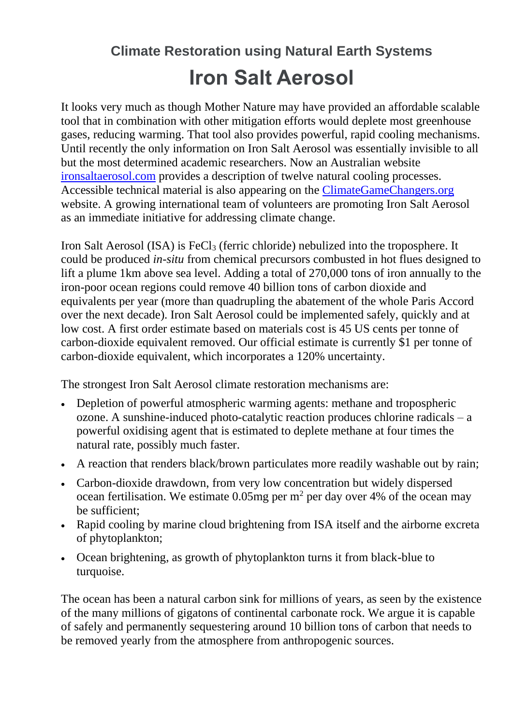## **Climate Restoration using Natural Earth Systems Iron Salt Aerosol**

It looks very much as though Mother Nature may have provided an affordable scalable tool that in combination with other mitigation efforts would deplete most greenhouse gases, reducing warming. That tool also provides powerful, rapid cooling mechanisms. Until recently the only information on Iron Salt Aerosol was essentially invisible to all but the most determined academic researchers. Now an Australian website [ironsaltaerosol.com](http://ironsaltaerosol.com/) provides a description of twelve natural cooling processes. Accessible technical material is also appearing on the [ClimateGameChangers.](https://climategamechangers.org/game-changers/iron-salt-aerosol/)org website. A growing international team of volunteers are promoting Iron Salt Aerosol as an immediate initiative for addressing climate change.

Iron Salt Aerosol (ISA) is  $FeCl<sub>3</sub>$  (ferric chloride) nebulized into the troposphere. It could be produced *in-situ* from chemical precursors combusted in hot flues designed to lift a plume 1km above sea level. Adding a total of 270,000 tons of iron annually to the iron-poor ocean regions could remove 40 billion tons of carbon dioxide and equivalents per year (more than quadrupling the abatement of the whole Paris Accord over the next decade). Iron Salt Aerosol could be implemented safely, quickly and at low cost. A first order estimate based on materials cost is 45 US cents per tonne of carbon-dioxide equivalent removed. Our official estimate is currently \$1 per tonne of carbon-dioxide equivalent, which incorporates a 120% uncertainty.

The strongest Iron Salt Aerosol climate restoration mechanisms are:

- Depletion of powerful atmospheric warming agents: methane and tropospheric ozone. A sunshine-induced photo-catalytic reaction produces chlorine radicals – a powerful oxidising agent that is estimated to deplete methane at four times the natural rate, possibly much faster.
- A reaction that renders black/brown particulates more readily washable out by rain;
- Carbon-dioxide drawdown, from very low concentration but widely dispersed ocean fertilisation. We estimate 0.05mg per  $m<sup>2</sup>$  per day over 4% of the ocean may be sufficient;
- Rapid cooling by marine cloud brightening from ISA itself and the airborne excreta of phytoplankton;
- Ocean brightening, as growth of phytoplankton turns it from black-blue to turquoise.

The ocean has been a natural carbon sink for millions of years, as seen by the existence of the many millions of gigatons of continental carbonate rock. We argue it is capable of safely and permanently sequestering around 10 billion tons of carbon that needs to be removed yearly from the atmosphere from anthropogenic sources.